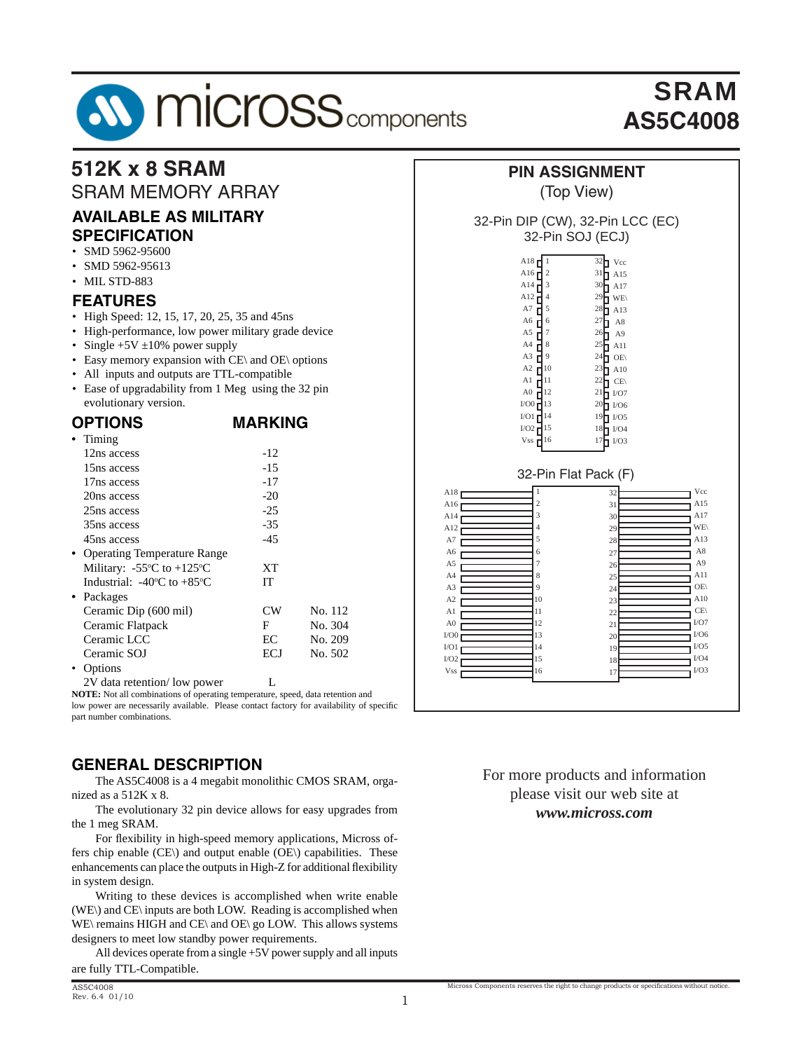# **AV MICroSS** components

# SRAM **AS5C4008**

#### **512K x 8 SRAM PIN ASSIGNMENT**  SRAM MEMORY ARRAY (Top View) **AVAILABLE AS MILITARY** 32-Pin DIP (CW), 32-Pin LCC (EC) **SPECIFICATION** 32-Pin SOJ (ECJ) • SMD 5962-95600 A18 d 1  $32$  Vcc • SMD 5962-95613 A16 $\mathbf{r}$ 2  $31$  A15 • MIL STD-883 A14 $\Gamma$ 3  $30$  A17  $A12$ **FEATURES** 4 <sup>29</sup>⊓ WE\ A7 Д 5 28<sup>1</sup> A<sub>13</sub> • High Speed: 12, 15, 17, 20, 25, 35 and 45ns A6 $\Gamma$ 6  $27$   $\blacksquare$  A8 • High-performance, low power military grade device A5 d 7  $26$   $\blacksquare$  A9  $A4$ • Single  $+5V \pm 10\%$  power supply 8  $25$  A<sub>11</sub> A3 • Easy memory expansion with CE\ and OE\ options 9  $24$  OE  $A2 \mathsf{H}^{10}$  $^{23}$   $\blacksquare$  A10 • All inputs and outputs are TTL-compatible A1  $\mathbf{d}^{11}$  $^{22}$  CE\ • Ease of upgradability from 1 Meg using the 32 pin A0 12  $^{21}$  I/O7 evolutionary version.  $1/00$  $\blacksquare$ <sup>13</sup> 20 I/O6  $I/O1$  $I$ <sup>14</sup> 19 I/O5 **OPTIONS MARKING**  $\overline{1}/O2$ 15 18 | I/O4 **•** Timing 16 17  $\mathbf{I}^{1/03}$ Vss  $12ns$  access  $-12$  $15ns$  access  $-15$ 32-Pin Flat Pack (F) 17ns access -17 Vcc A18 1 32 20ns access -20 A15 A16 $\overline{1}$ 2 31  $25ns$  access  $-25$ A14 3 A17  $30$  35ns access -35 WE\ A12 4 29 45ns access -45 A13 A7 28 5 A8 **•** Operating Temperature Range A6 6  $27$  $\Delta$ 9 A5 7  $\overline{2}6$ XT Military:  $-55^{\circ}$ C to  $+125^{\circ}$ A11 A4 8  $25$ IT<sub></sub> Industrial:  $-40^{\circ}$ C to  $+85^{\circ}$ OE\ A3 9 24 **•** Packages A10 A2 10 23 Ceramic Dip (600 mil) CW No. 112  $CE\setminus$  $\overline{A}1$ 11  $2<sup>2</sup>$ 12  $I/\Omega$ Ceramic Flatpack F No. 304 A0 21 I/O0 13 I/O6  $20$ Ceramic LCC BC No. 209  $I/O1$ 14 I/O5 19 Ceramic SOJ ECJ No. 502 I/O4 I/O2 15 18 • Options I/O3Vss 16  $1<sup>7</sup>$ 2V data retention/ low power L

**NOTE:** Not all combinations of operating temperature, speed, data retention and low power are necessarily available. Please contact factory for availability of specific part number combinations.

## **GENERAL DESCRIPTION**

 The AS5C4008 is a 4 megabit monolithic CMOS SRAM, organized as a 512K x 8.

 The evolutionary 32 pin device allows for easy upgrades from the 1 meg SRAM.

For flexibility in high-speed memory applications, Micross offers chip enable (CE\) and output enable (OE\) capabilities. These enhancements can place the outputs in High-Z for additional flexibility in system design.

 Writing to these devices is accomplished when write enable (WE\) and CE\ inputs are both LOW. Reading is accomplished when WE\ remains HIGH and CE\ and OE\ go LOW. This allows systems designers to meet low standby power requirements.

 All devices operate from a single +5V power supply and all inputs are fully TTL-Compatible.

#### For more products and information please visit our web site at *www.micross.com*

Micross Components reserves the right to change products or specifications without notice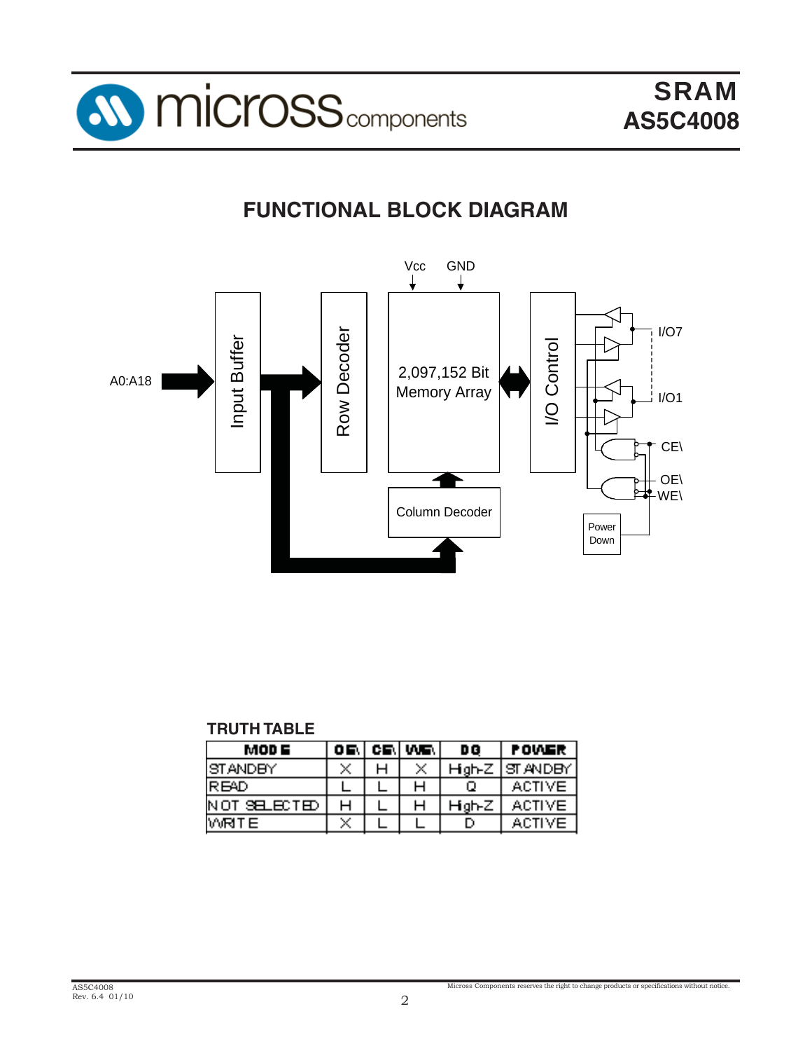

# **FUNCTIONAL BLOCK DIAGRAM**



#### **TRUTH TABLE**

| MOD E          | . OF | CF. | VVS.          | D Q    | <b>POWER</b>  |
|----------------|------|-----|---------------|--------|---------------|
| ISTANDEYI      | X    |     | $\mathcal{A}$ | High-Z | lst andem     |
| IR BAD         |      |     |               |        | ACTIVE.       |
| IN OT SELECTED | н    |     |               | Hgh⊦Z  | ACTIVE.       |
| WRITE.         | X.   |     |               |        | <b>ACTIVE</b> |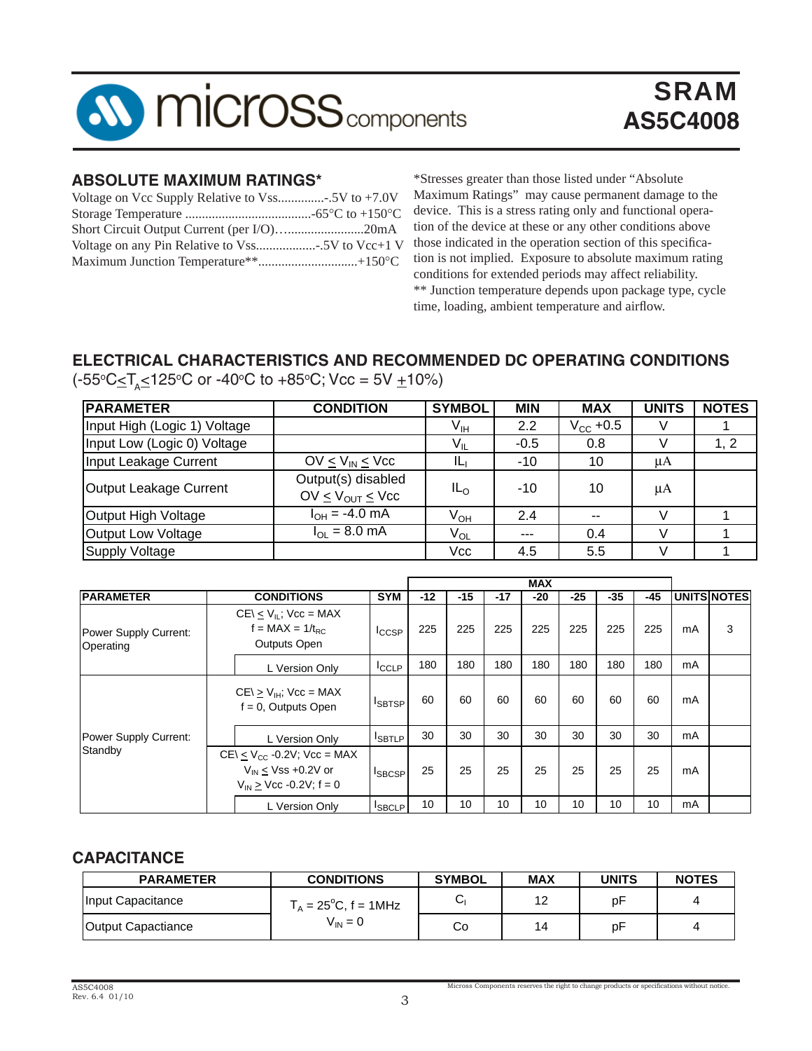

#### **ABSOLUTE MAXIMUM RATINGS\***

| Short Circuit Output Current (per I/O)20mA |  |
|--------------------------------------------|--|
|                                            |  |
|                                            |  |

\*Stresses greater than those listed under "Absolute Maximum Ratings" may cause permanent damage to the device. This is a stress rating only and functional operation of the device at these or any other conditions above those indicated in the operation section of this specification is not implied. Exposure to absolute maximum rating conditions for extended periods may affect reliability. \*\* Junction temperature depends upon package type, cycle time, loading, ambient temperature and airflow.

# **ELECTRICAL CHARACTERISTICS AND RECOMMENDED DC OPERATING CONDITIONS**

(-55°C≤T<sub>A</sub>≤125°C or -40°C to +85°C; Vcc = 5V <u>+</u>10%)

| <b>PARAMETER</b>             | <b>CONDITION</b>                                            | <b>SYMBOL</b>   | <b>MIN</b>       | <b>MAX</b>           | <b>UNITS</b> | <b>NOTES</b> |
|------------------------------|-------------------------------------------------------------|-----------------|------------------|----------------------|--------------|--------------|
| Input High (Logic 1) Voltage |                                                             | V <sub>IH</sub> | $2.2\phantom{0}$ | $V_{\text{CC}}$ +0.5 |              |              |
| Input Low (Logic 0) Voltage  |                                                             | $V_{IL}$        | $-0.5$           | 0.8                  |              | 1, 2         |
| Input Leakage Current        | $OV < V_{IN} < V_{CC}$                                      | ΙLι             | $-10$            | 10                   | μA           |              |
| Output Leakage Current       | Output(s) disabled<br>OV $\leq$ V <sub>OUT</sub> $\leq$ Vcc | IL <sub>O</sub> | $-10$            | 10                   | μA           |              |
| Output High Voltage          | $I_{OH} = -4.0 \text{ mA}$                                  | $V_{OH}$        | 2.4              | $-$                  |              |              |
| Output Low Voltage           | $I_{\text{OL}} = 8.0 \text{ mA}$                            | $V_{OL}$        | $- - -$          | 0.4                  |              |              |
| Supply Voltage               |                                                             | Vcc             | 4.5              | 5.5                  | V            |              |

|                                    |                                                                                                     |                |       |       |       | <b>MAX</b> |       |       |     |    |                    |
|------------------------------------|-----------------------------------------------------------------------------------------------------|----------------|-------|-------|-------|------------|-------|-------|-----|----|--------------------|
| <b>PARAMETER</b>                   | <b>CONDITIONS</b>                                                                                   | <b>SYM</b>     | $-12$ | $-15$ | $-17$ | $-20$      | $-25$ | $-35$ | -45 |    | <b>UNITS NOTES</b> |
| Power Supply Current:<br>Operating | $CE \le V_{IL}$ ; $V_{CC} = MAX$<br>$f = MAX = 1/t_{BC}$<br><b>Outputs Open</b>                     | <b>I</b> CCSP  | 225   | 225   | 225   | 225        | 225   | 225   | 225 | mA | 3                  |
|                                    | L Version Only                                                                                      |                | 180   | 180   | 180   | 180        | 180   | 180   | 180 | mA |                    |
|                                    | $CE\geq V_{\text{H}}$ ; $Vec = MAX$<br>$f = 0$ , Outputs Open                                       | <b>ISBTSP</b>  | 60    | 60    | 60    | 60         | 60    | 60    | 60  | mA |                    |
| Power Supply Current:              | L Version Only                                                                                      | <b>I</b> SBTLP | 30    | 30    | 30    | 30         | 30    | 30    | 30  | mA |                    |
| Standby                            | $CE \lt V_{CC}$ -0.2V; Vcc = MAX<br>$V_{IN} \leq Vss + 0.2V$ or<br>$V_{IN} \geq Vcc - 0.2V$ ; f = 0 | <b>I</b> SBCSP | 25    | 25    | 25    | 25         | 25    | 25    | 25  | mA |                    |
|                                    | L Version Only                                                                                      | <b>ISBCLP</b>  | 10    | 10    | 10    | 10         | 10    | 10    | 10  | mA |                    |

# **CAPACITANCE**

| <b>PARAMETER</b>   | <b>CONDITIONS</b>              | <b>SYMBOL</b> | <b>MAX</b> | <b>UNITS</b> | <b>NOTES</b> |
|--------------------|--------------------------------|---------------|------------|--------------|--------------|
| Input Capacitance  | $T_A = 25^{\circ}C$ , f = 1MHz | ات            | 12         | рF           |              |
| Output Capactiance | $V_{IN} = 0$                   | Co            | 14         | рF           |              |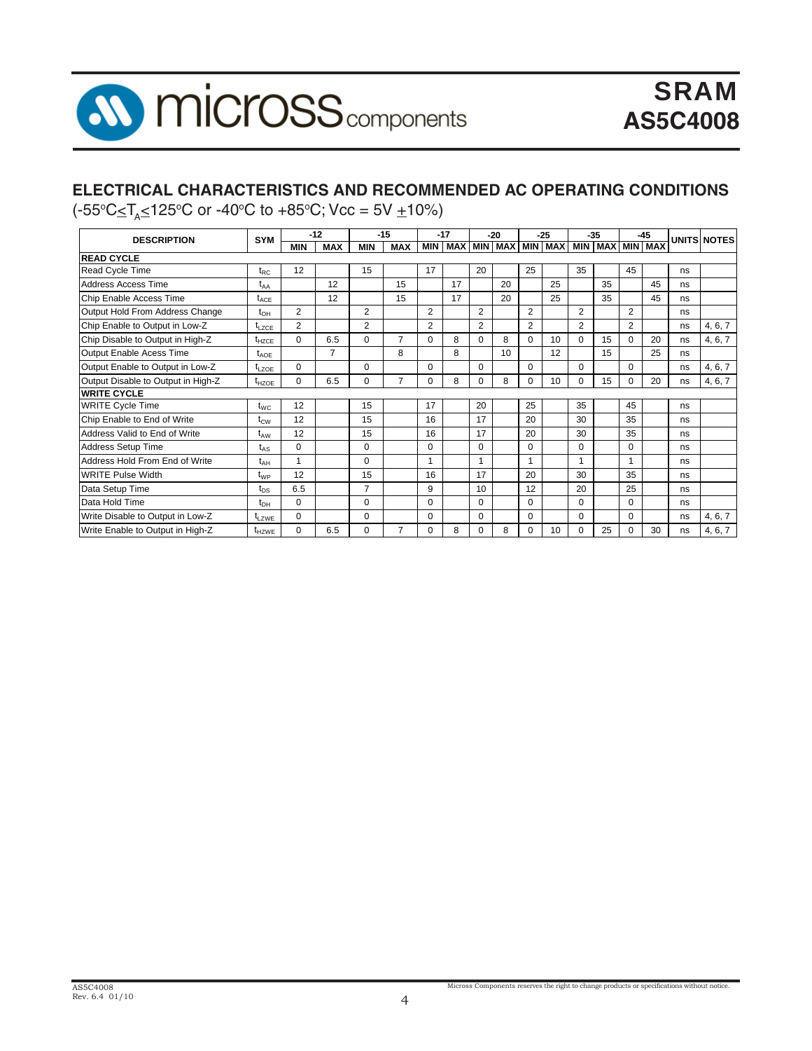

# **ELECTRICAL CHARACTERISTICS AND RECOMMENDED AC OPERATING CONDITIONS**

(-55°C≤T<sub>A</sub>≤125°C or -40°C to +85°C; Vcc = 5V <u>+</u>10%)

| <b>SYM</b><br><b>DESCRIPTION</b>   |                   | $-12$<br>$-15$ |                | $-17$<br>$-20$ |                | $-35$<br>$-25$ |    |                | $-45$                       |                | <b>UNITS NOTES</b> |                         |                 |                |    |    |         |
|------------------------------------|-------------------|----------------|----------------|----------------|----------------|----------------|----|----------------|-----------------------------|----------------|--------------------|-------------------------|-----------------|----------------|----|----|---------|
|                                    |                   | <b>MIN</b>     | <b>MAX</b>     | <b>MIN</b>     | <b>MAX</b>     | <b>MIN</b>     |    |                | MAX   MIN   MAX   MIN   MAX |                |                    |                         | MIN MAX MIN MAX |                |    |    |         |
| <b>READ CYCLE</b>                  |                   |                |                |                |                |                |    |                |                             |                |                    |                         |                 |                |    |    |         |
| <b>Read Cycle Time</b>             | $t_{RC}$          | 12             |                | 15             |                | 17             |    | 20             |                             | 25             |                    | 35                      |                 | 45             |    | ns |         |
| Address Access Time                | t <sub>AA</sub>   |                | 12             |                | 15             |                | 17 |                | 20                          |                | 25                 |                         | 35              |                | 45 | ns |         |
| Chip Enable Access Time            | $t_{\text{ACF}}$  |                | 12             |                | 15             |                | 17 |                | 20                          |                | 25                 |                         | 35              |                | 45 | ns |         |
| Output Hold From Address Change    | t <sub>он</sub>   | $\overline{2}$ |                | $\overline{2}$ |                | $\overline{2}$ |    | $\overline{2}$ |                             | 2              |                    | $\overline{2}$          |                 | $\overline{2}$ |    | ns |         |
| Chip Enable to Output in Low-Z     | $t_{LZCE}$        | $\overline{2}$ |                | $\overline{2}$ |                | $\overline{2}$ |    | 2              |                             | $\overline{2}$ |                    | $\overline{2}$          |                 | $\overline{2}$ |    | ns | 4, 6, 7 |
| Chip Disable to Output in High-Z   | t <sub>HZCE</sub> | 0              | 6.5            | $\Omega$       | $\overline{7}$ | $\Omega$       | 8  | $\Omega$       | 8                           | $\Omega$       | 10                 | $\Omega$                | 15              | $\Omega$       | 20 | ns | 4, 6, 7 |
| Output Enable Acess Time           | $t_{AOE}$         |                | $\overline{7}$ |                | 8              |                | 8  |                | 10                          |                | 12                 |                         | 15              |                | 25 | ns |         |
| Output Enable to Output in Low-Z   | $t_{LZOF}$        | $\Omega$       |                | $\Omega$       |                | $\Omega$       |    | $\Omega$       |                             | $\Omega$       |                    | 0                       |                 | $\Omega$       |    | ns | 4, 6, 7 |
| Output Disable to Output in High-Z | $t_{HZOE}$        | $\Omega$       | 6.5            | $\Omega$       | $\overline{7}$ | $\Omega$       | 8  | $\mathbf 0$    | 8                           | $\Omega$       | 10                 | 0                       | 15              | $\Omega$       | 20 | ns | 4, 6, 7 |
| <b>WRITE CYCLE</b>                 |                   |                |                |                |                |                |    |                |                             |                |                    |                         |                 |                |    |    |         |
| <b>WRITE Cycle Time</b>            | $t_{WC}$          | 12             |                | 15             |                | 17             |    | 20             |                             | 25             |                    | 35                      |                 | 45             |    | ns |         |
| Chip Enable to End of Write        | $t_{\text{CW}}$   | 12             |                | 15             |                | 16             |    | 17             |                             | 20             |                    | 30                      |                 | 35             |    | ns |         |
| Address Valid to End of Write      | t <sub>aw</sub>   | 12             |                | 15             |                | 16             |    | 17             |                             | 20             |                    | 30                      |                 | 35             |    | ns |         |
| Address Setup Time                 | $t_{AS}$          | $\Omega$       |                | $\Omega$       |                | $\Omega$       |    | $\Omega$       |                             | $\Omega$       |                    | 0                       |                 | $\Omega$       |    | ns |         |
| Address Hold From End of Write     | t <sub>ан</sub>   | 1              |                | $\Omega$       |                | $\overline{ }$ |    |                |                             | 1              |                    | $\overline{\mathbf{A}}$ |                 | $\overline{A}$ |    | ns |         |
| <b>WRITE Pulse Width</b>           | t <sub>WP</sub>   | 12             |                | 15             |                | 16             |    | 17             |                             | 20             |                    | 30                      |                 | 35             |    | ns |         |
| Data Setup Time                    | $t_{DS}$          | 6.5            |                | 7              |                | 9              |    | 10             |                             | 12             |                    | 20                      |                 | 25             |    | ns |         |
| Data Hold Time                     | $t_{\text{DH}}$   | $\Omega$       |                | $\Omega$       |                | $\Omega$       |    | $\Omega$       |                             | $\Omega$       |                    | $\Omega$                |                 | $\Omega$       |    | ns |         |
| Write Disable to Output in Low-Z   | $t_{LZWE}$        | 0              |                | $\Omega$       |                | $\Omega$       |    | $\Omega$       |                             | $\Omega$       |                    | 0                       |                 | $\Omega$       |    | ns | 4, 6, 7 |
| Write Enable to Output in High-Z   | $t_{HZWE}$        | 0              | 6.5            | 0              | $\overline{7}$ | 0              | 8  | $\mathbf 0$    | 8                           | 0              | 10                 | 0                       | 25              | $\Omega$       | 30 | ns | 4, 6, 7 |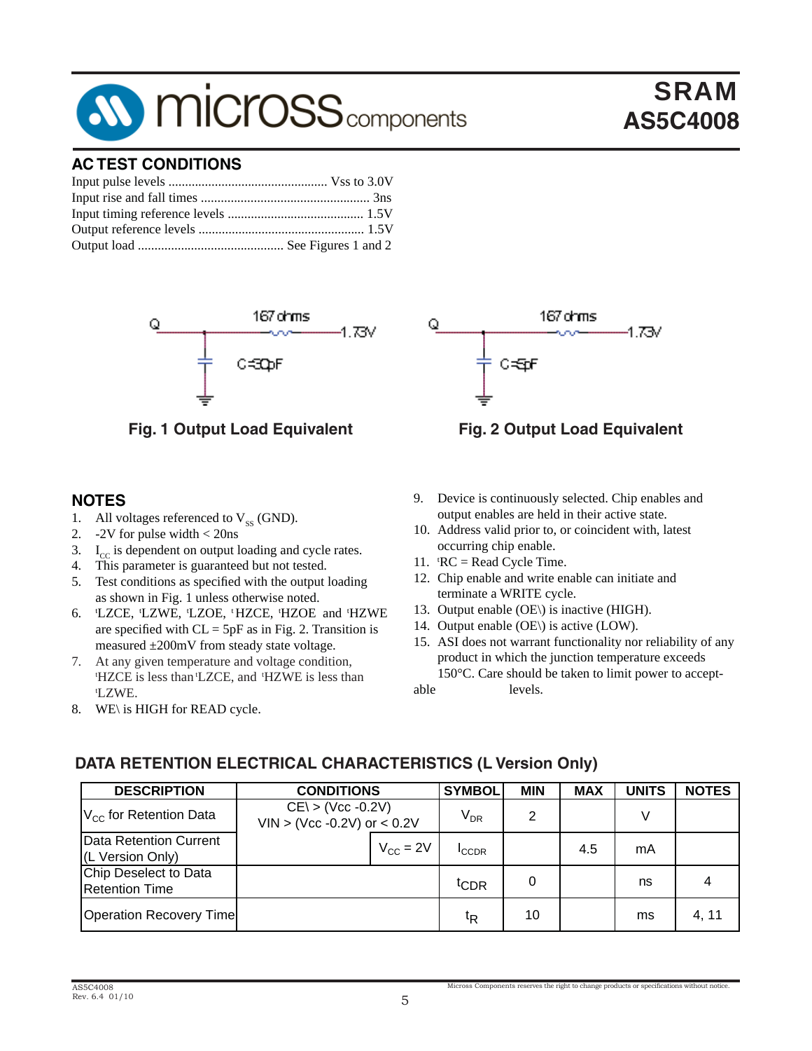# **SV MICroSS** components

## **AC TEST CONDITIONS**



#### **NOTES**

- 1. All voltages referenced to  $V_{ss}$  (GND).<br>2. -2V for pulse width < 20ns
- 2. -2V for pulse width < 20ns
- 3.  $I_{cc}$  is dependent on output loading and cycle rates.
- 4. This parameter is guaranteed but not tested.
- 5. Test conditions as specified with the output loading as shown in Fig. 1 unless otherwise noted.
- 6. t LZCE, tLZWE, tLZOE, t HZCE, tHZOE and tHZWE are specified with  $CL = 5pF$  as in Fig. 2. Transition is measured ±200mV from steady state voltage.
- 7. At any given temperature and voltage condition, HZCE is less than 'LZCE, and 'HZWE is less than 'LZWE.
- 8. WE\ is HIGH for READ cycle.



#### **Fig. 1 Output Load Equivalent Fig. 2 Output Load Equivalent**

SRAM

**AS5C4008**

- 9. Device is continuously selected. Chip enables and output enables are held in their active state.
- 10. Address valid prior to, or coincident with, latest occurring chip enable.
- 11.  $RC = Read Cycle Time$ .
- 12. Chip enable and write enable can initiate and terminate a WRITE cycle.
- 13. Output enable (OE\) is inactive (HIGH).
- 14. Output enable (OE\) is active (LOW).
- 15. ASI does not warrant functionality nor reliability of any product in which the junction temperature exceeds 150°C. Care should be taken to limit power to acceptable levels.

DESCRIPTION | CONDITIONS |SYMBOL MIN | MAX | UNITS | NOTES VCC for Retention Data VDR 2 V Data Retention Current Data Retention Current<br>(L Version Only)  $V_{\text{CC}} = 2V \begin{bmatrix} 1 \\ 1 \end{bmatrix}$  and  $4.5 \begin{bmatrix} 4.5 \\ 1 \end{bmatrix}$  mA Chip Deselect to Data expression to Butch the control of the term of the control of the control of the control of the control of the control of the control of the control of the control of the control of the control of the control of the contro Operation Recovery Time the second transition of the transition of the transition Recovery Time  $CE\$  > (Vcc -0.2V)  $VIN > (Vcc -0.2V)$  or  $< 0.2V$ **CONDITIONS**

# **DATA RETENTION ELECTRICAL CHARACTERISTICS (L Version Only)**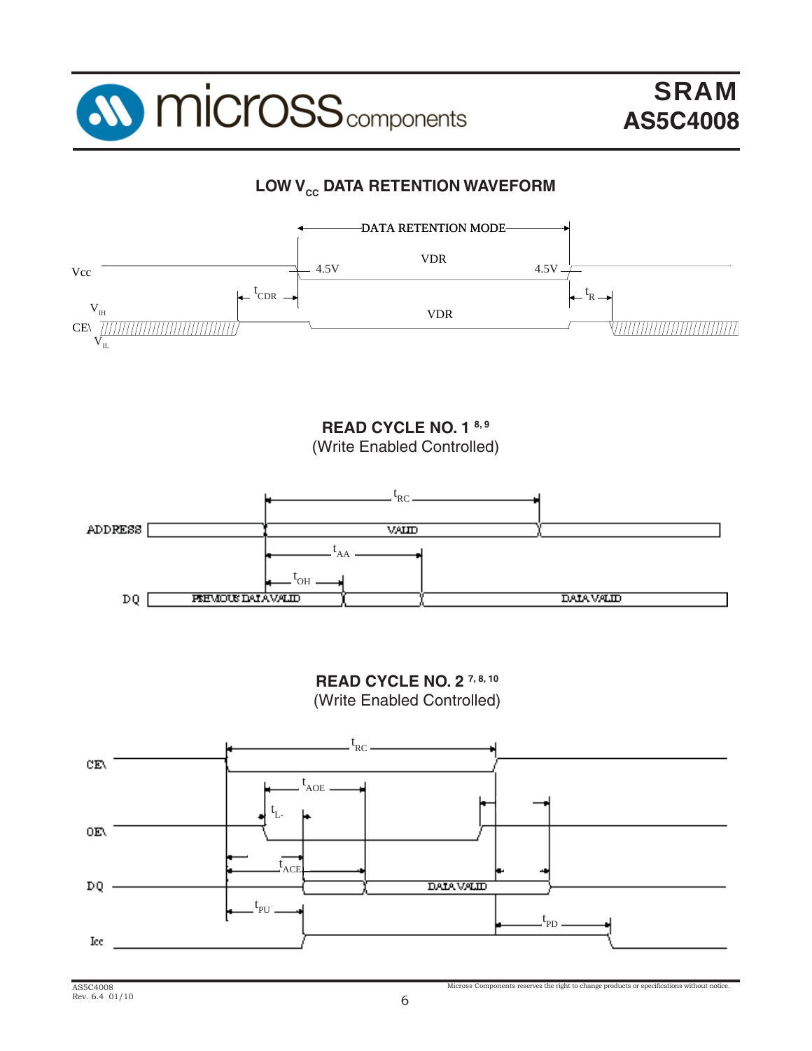

# **LOW V<sub>cc</sub> DATA RETENTION WAVEFORM**



**READ CYCLE NO. 1 8, 9** (Write Enabled Controlled)



**READ CYCLE NO. 2 7, 8, 10**



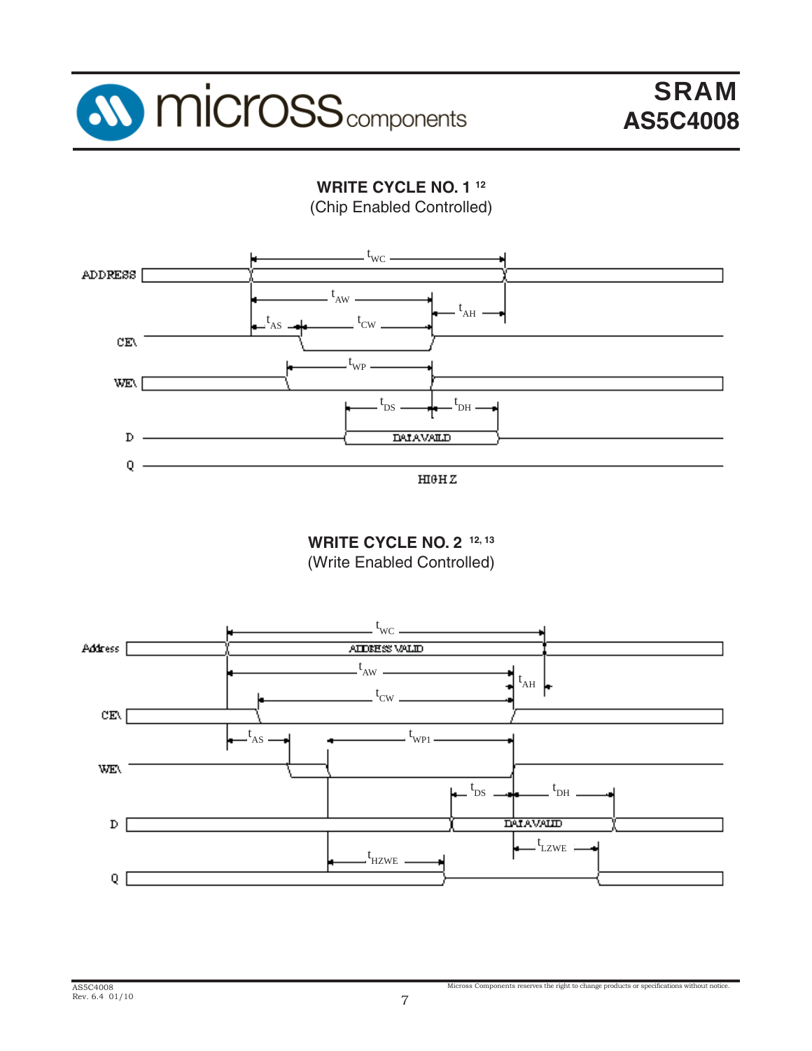

**WRITE CYCLE NO. 1 12** (Chip Enabled Controlled)



 $H10HZ$ 

**WRITE CYCLE NO. 2 12, 13** (Write Enabled Controlled)



Micross Components reserves the right to change products or specifications without notice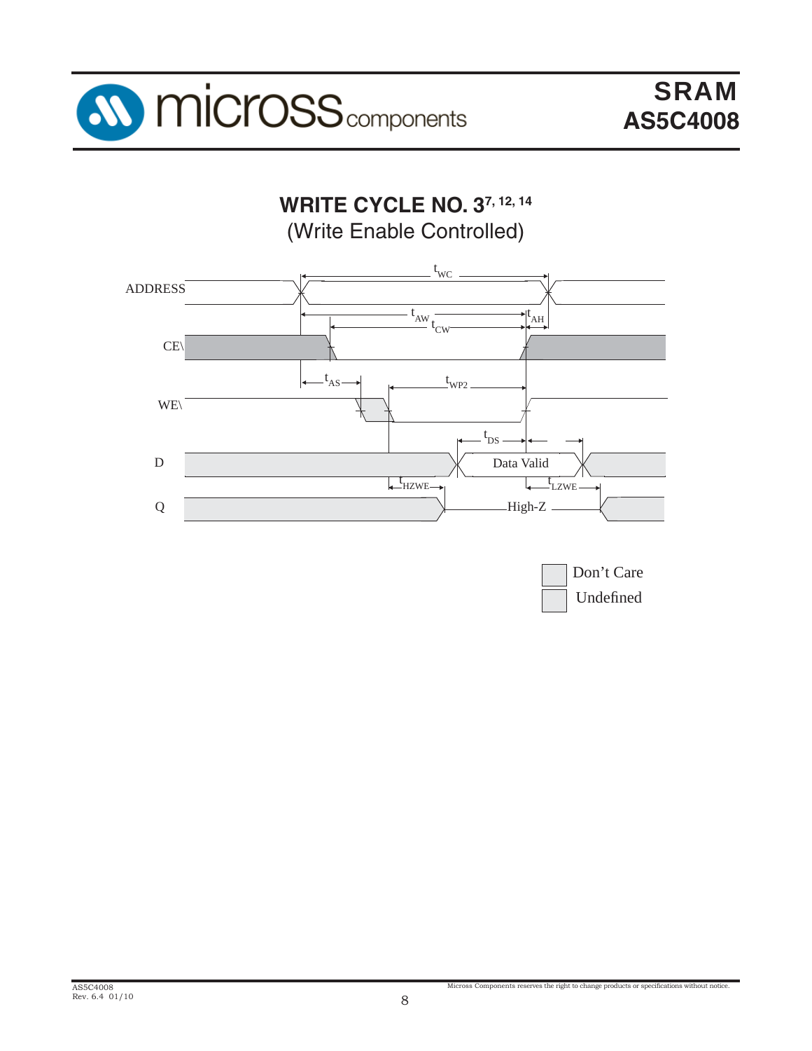

**WRITE CYCLE NO. 37, 12, 14** (Write Enable Controlled)



| Don't Care |
|------------|
| Undefined  |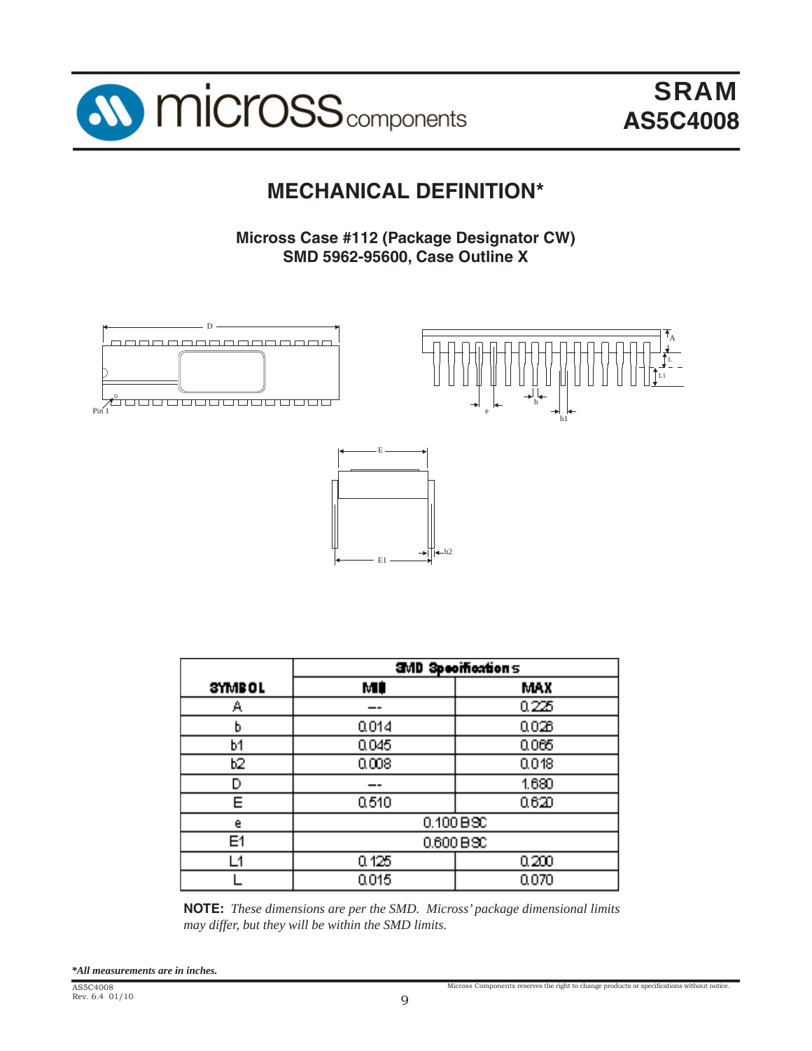

# **MECHANICAL DEFINITION\***

**Micross Case #112 (Package Designator CW) SMD 5962-95600, Case Outline X**



|               | <b>SMD Specifications</b> |            |  |  |  |  |  |
|---------------|---------------------------|------------|--|--|--|--|--|
| <b>SYMBOL</b> | МÚ                        | <b>MAX</b> |  |  |  |  |  |
| Α             |                           | 0.225      |  |  |  |  |  |
| b             | 0.014                     | 0.026      |  |  |  |  |  |
| b1            | 0.045                     | 0065       |  |  |  |  |  |
| Ь2.           | 0.008                     | 0018       |  |  |  |  |  |
| D             |                           | 1.680      |  |  |  |  |  |
| Е             | 0.510                     | 0620       |  |  |  |  |  |
| e             | 0.100 B30                 |            |  |  |  |  |  |
| E1            | $0.600 B$ SC              |            |  |  |  |  |  |
| - 1           | 0.125                     | 0,200      |  |  |  |  |  |
|               | 0.015<br>0.070            |            |  |  |  |  |  |

**NOTE:** *These dimensions are per the SMD. Micross' package dimensional limits may differ, but they will be within the SMD limits.*

*\*All measurements are in inches.*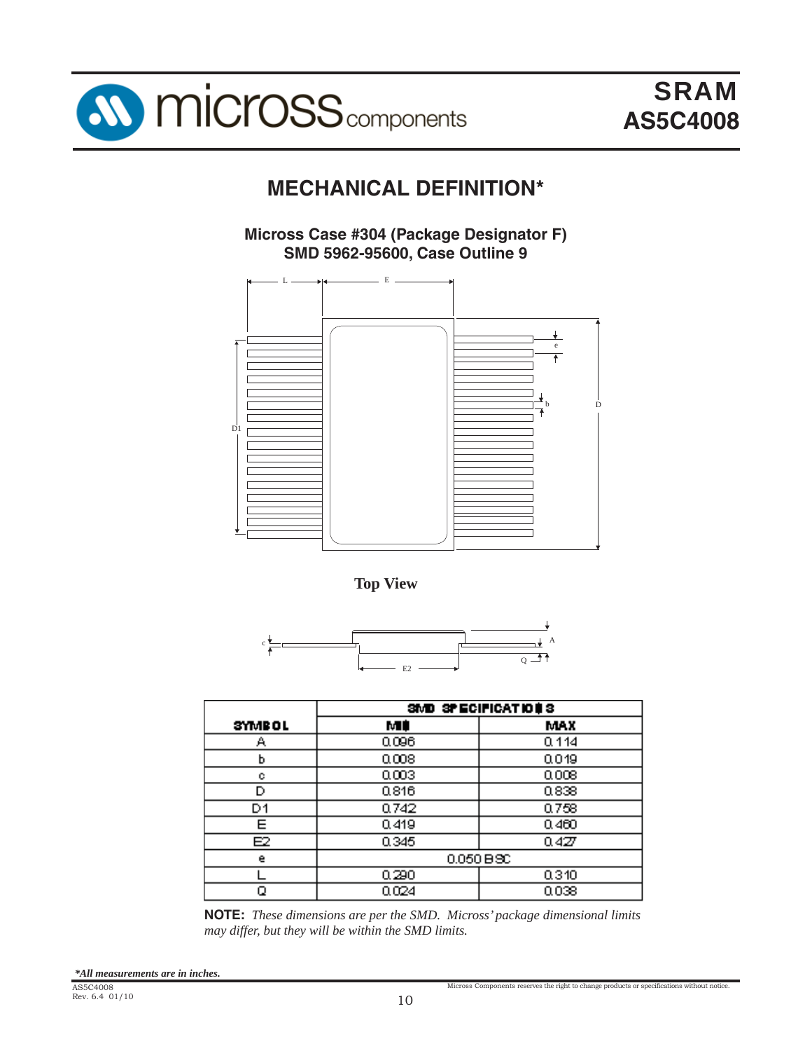

# **MECHANICAL DEFINITION\***

**Micross Case #304 (Package Designator F) SMD 5962-95600, Case Outline 9** 



**Top View**



|               | SMD SPECIFICATIONS |       |  |  |  |  |  |  |
|---------------|--------------------|-------|--|--|--|--|--|--|
| <b>SYMBOL</b> | мŧ                 | MAX   |  |  |  |  |  |  |
| А             | 0.096              | 0.114 |  |  |  |  |  |  |
| ь             | 0.008              | 0.019 |  |  |  |  |  |  |
| с             | 0.003              | 0.008 |  |  |  |  |  |  |
| D             | 0.816              | 0.838 |  |  |  |  |  |  |
| D1            | 0.742              | 0.758 |  |  |  |  |  |  |
| F             | 0.419              | 0.460 |  |  |  |  |  |  |
| Е2            | 0.345              | 0.427 |  |  |  |  |  |  |
| e             | $0.050 B$ $\infty$ |       |  |  |  |  |  |  |
|               | 0.290              | 0.310 |  |  |  |  |  |  |
|               | 0.024<br>0.038     |       |  |  |  |  |  |  |

**NOTE:** *These dimensions are per the SMD. Micross' package dimensional limits may differ, but they will be within the SMD limits.*

Micross Components reserves the right to change products or specifications without notice.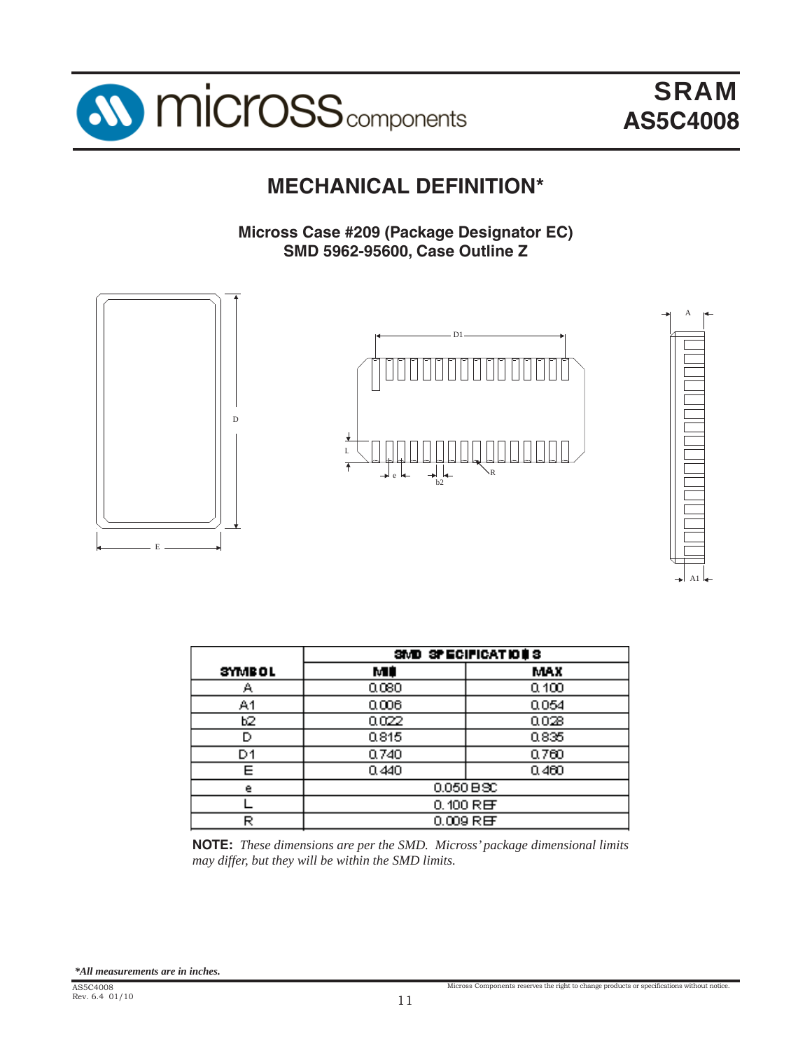

A1

# **MECHANICAL DEFINITION\***

**Micross Case #209 (Package Designator EC) SMD 5962-95600, Case Outline Z**



| SMD SPECIFICATIONS |       |  |  |  |  |  |  |  |
|--------------------|-------|--|--|--|--|--|--|--|
| м¢                 | MAX   |  |  |  |  |  |  |  |
| 0.080              | 0.100 |  |  |  |  |  |  |  |
| 0.006              | 0.054 |  |  |  |  |  |  |  |
| 0.022              | 0.028 |  |  |  |  |  |  |  |
| 0.815              | 0.835 |  |  |  |  |  |  |  |
| 0.740              | 0.760 |  |  |  |  |  |  |  |
| 0.440              | 0.460 |  |  |  |  |  |  |  |
| $0.050 B$ $\infty$ |       |  |  |  |  |  |  |  |
| $0.100$ REF        |       |  |  |  |  |  |  |  |
| $0.009$ REF        |       |  |  |  |  |  |  |  |
|                    |       |  |  |  |  |  |  |  |

**NOTE:** *These dimensions are per the SMD. Micross' package dimensional limits may differ, but they will be within the SMD limits.*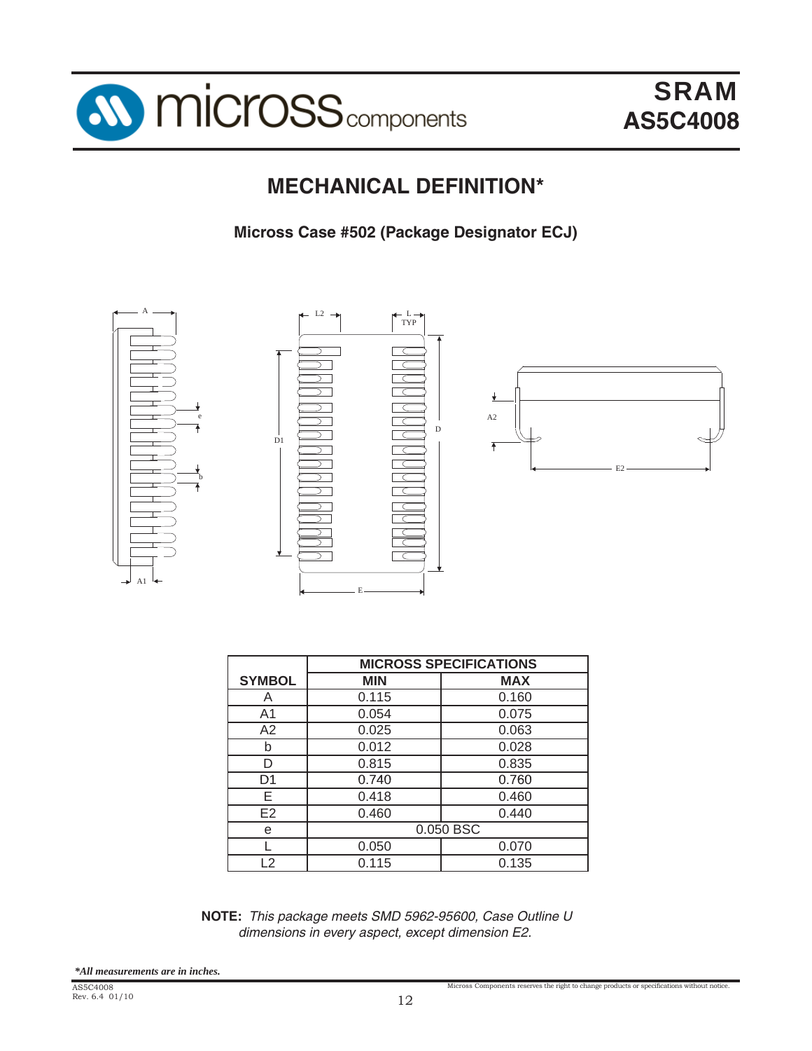

# **MECHANICAL DEFINITION\***

**Micross Case #502 (Package Designator ECJ)**



|                | <b>MICROSS SPECIFICATIONS</b> |            |  |  |  |  |  |  |
|----------------|-------------------------------|------------|--|--|--|--|--|--|
| <b>SYMBOL</b>  | <b>MIN</b>                    | <b>MAX</b> |  |  |  |  |  |  |
| A              | 0.115                         | 0.160      |  |  |  |  |  |  |
| A <sub>1</sub> | 0.054                         | 0.075      |  |  |  |  |  |  |
| A2             | 0.025                         | 0.063      |  |  |  |  |  |  |
| b              | 0.012                         | 0.028      |  |  |  |  |  |  |
| D              | 0.815                         | 0.835      |  |  |  |  |  |  |
| D1             | 0.740                         | 0.760      |  |  |  |  |  |  |
| E              | 0.418                         | 0.460      |  |  |  |  |  |  |
| E <sub>2</sub> | 0.460                         | 0.440      |  |  |  |  |  |  |
| е              | 0.050 BSC                     |            |  |  |  |  |  |  |
|                | 0.050                         | 0.070      |  |  |  |  |  |  |
| $\overline{2}$ | 0.115                         | 0.135      |  |  |  |  |  |  |

**NOTE:** *This package meets SMD 5962-95600, Case Outline U dimensions in every aspect, except dimension E2.*

Micross Components reserves the right to change products or specifications without notice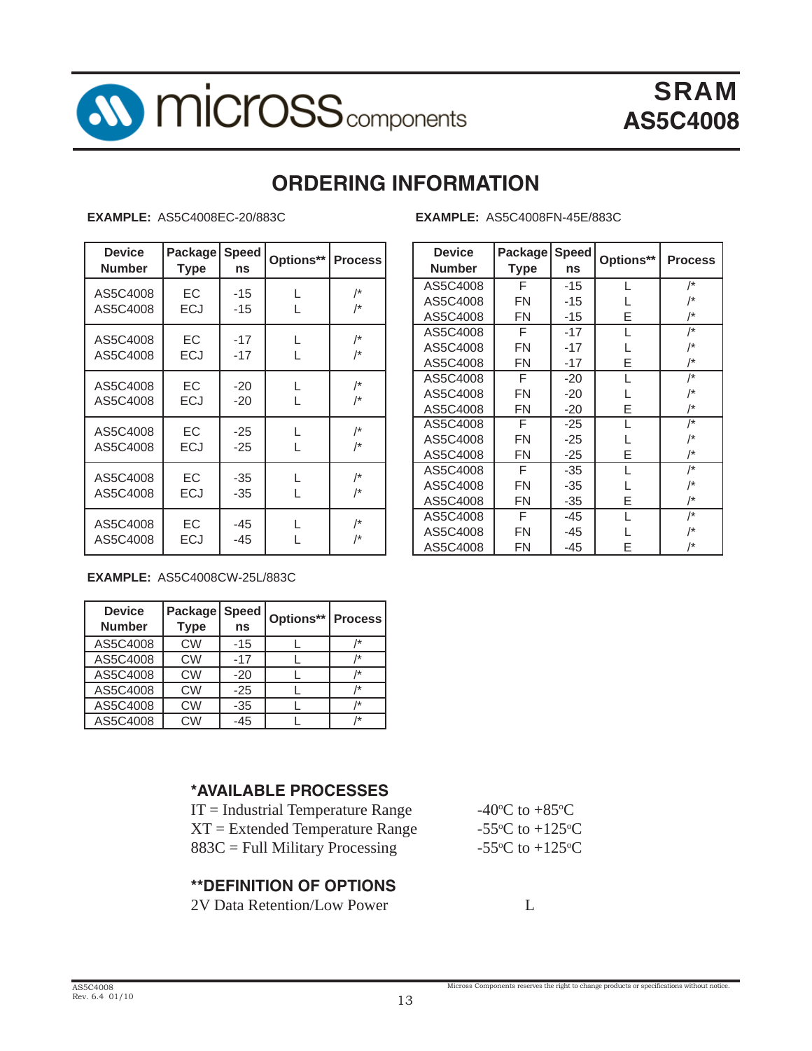

# **ORDERING INFORMATION**

**EXAMPLE:** AS5C4008EC-20/883C **EXAMPLE:** AS5C4008FN-45E/883C

| <b>Device</b><br><b>Number</b> | <b>Package</b><br><b>Type</b> | <b>Speed</b><br>ns | Options** | <b>Process</b>                | <b>Device</b><br><b>Number</b> |
|--------------------------------|-------------------------------|--------------------|-----------|-------------------------------|--------------------------------|
| AS5C4008<br>AS5C4008           | EC.<br><b>ECJ</b>             | -15<br>-15         | L         | $/$ *<br>/*                   | AS5C400<br>AS5C400<br>AS5C400  |
| AS5C4008<br>AS5C4008           | <b>EC</b><br><b>ECJ</b>       | $-17$<br>$-17$     | L         | $/$ *<br>/*                   | AS5C400<br>AS5C400<br>AS5C400  |
| AS5C4008<br>AS5C4008           | <b>EC</b><br><b>ECJ</b>       | $-20$<br>$-20$     | L         | $\prime^{\ast}$<br>$\prime^*$ | AS5C400<br>AS5C400<br>AS5C400  |
| AS5C4008<br>AS5C4008           | EC<br><b>ECJ</b>              | $-25$<br>$-25$     | L         | $\prime^*$<br>/*              | AS5C400<br>AS5C400<br>AS5C400  |
| AS5C4008<br>AS5C4008           | <b>EC</b><br><b>ECJ</b>       | $-35$<br>-35       | L         | $\prime^*$<br>$\prime^*$      | AS5C400<br>AS5C400<br>AS5C400  |
| AS5C4008<br>AS5C4008           | EC<br>ECJ                     | $-45$<br>-45       |           | $\prime^*$<br>/*              | AS5C400<br>AS5C400<br>AS5C400  |

| <b>Device</b><br><b>Number</b> | Package<br>Type | <b>Speed</b><br>ns | Options** | <b>Process</b> |
|--------------------------------|-----------------|--------------------|-----------|----------------|
| AS5C4008                       | F               | $-15$              | L         | /*             |
| AS5C4008                       | FN              | -15                |           | /*             |
| AS5C4008                       | FN              | $-15$              | E         | /*             |
| AS5C4008                       | F               | $-17$              |           | /*             |
| AS5C4008                       | FN              | $-17$              |           | /*             |
| AS5C4008                       | FN              | -17                | F         | /*             |
| AS5C4008                       | F               | $-20$              |           | /*             |
| AS5C4008                       | FN              | $-20$              | L         | /*             |
| AS5C4008                       | FN              | $-20$              | F         | /*             |
| AS5C4008                       | F               | $-25$              |           | /*             |
| AS5C4008                       | FN              | $-25$              |           | /*             |
| AS5C4008                       | FN              | $-25$              | E         | /*             |
| AS5C4008                       | F               | -35                | L         | /*             |
| AS5C4008                       | FN              | -35                |           | /*             |
| AS5C4008                       | FN              | -35                | E         | /*             |
| AS5C4008                       | F               | -45                |           | /*             |
| AS5C4008                       | FN              | -45                |           | /*             |
| AS5C4008                       | FN              | -45                | F         | /*             |

Micross Components reserves the right to change products or specifications without notice.

**EXAMPLE:** AS5C4008CW-25L/883C

| <b>Device</b><br><b>Number</b> | Package<br><b>Type</b> | <b>Speed</b><br>ns | <b>Options**   Process</b> |      |
|--------------------------------|------------------------|--------------------|----------------------------|------|
| AS5C4008                       | <b>CW</b>              | $-15$              |                            | /*   |
| AS5C4008                       | <b>CW</b>              | $-17$              |                            | /*   |
| AS5C4008                       | <b>CW</b>              | $-20$              |                            | $1*$ |
| AS5C4008                       | CW                     | $-25$              |                            | /*   |
| AS5C4008                       | CW                     | $-35$              |                            | /*   |
| AS5C4008                       | CW                     | $-45$              |                            | /*   |

## **\*AVAILABLE PROCESSES**

| $IT = Industrial Temperature Range$ | -40 <sup>o</sup> C to +85 <sup>o</sup> C      |
|-------------------------------------|-----------------------------------------------|
| $XT = Extended Temperature Range$   | -55 $\rm{^{\circ}C}$ to +125 $\rm{^{\circ}C}$ |
| $883C =$ Full Military Processing   | -55 $\rm{^{\circ}C}$ to +125 $\rm{^{\circ}C}$ |

#### **\*\*DEFINITION OF OPTIONS**

2V Data Retention/Low Power L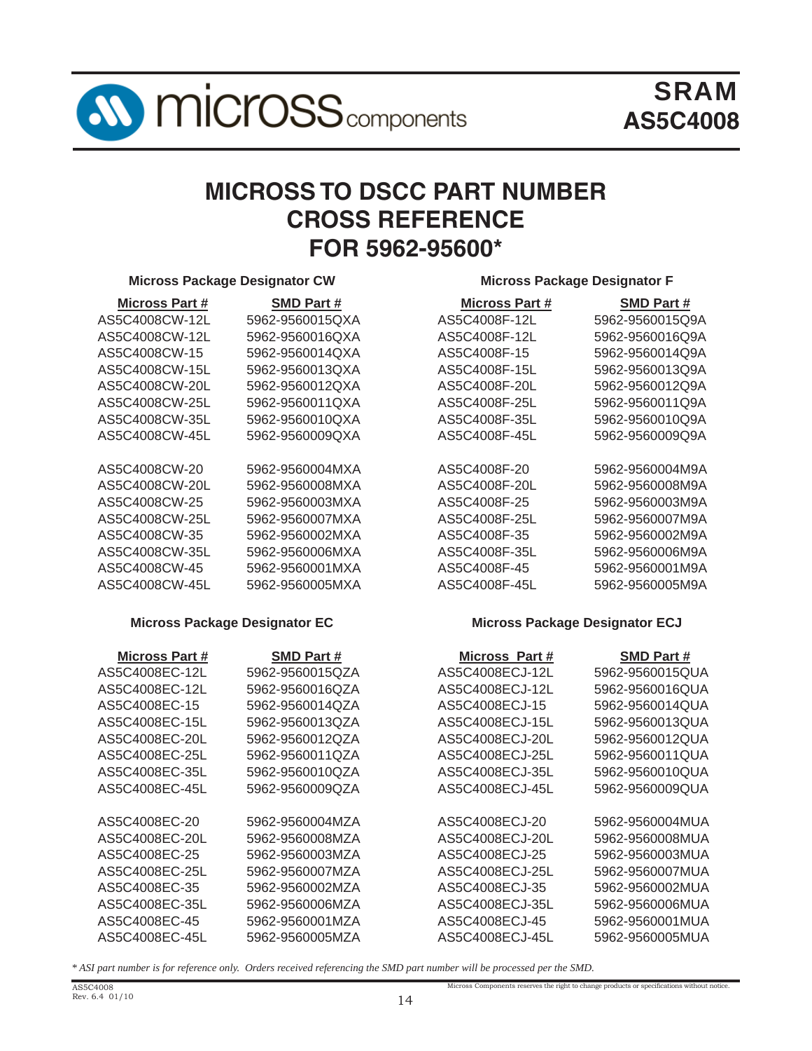

# **MICROSS TO DSCC PART NUMBER CROSS REFERENCE FOR 5962-95600\***

#### **Micross Package Designator CW Micross Package Designator F**

| Micross Part # | <b>SMD Part #</b> | <b>Micross Part #</b> | <b>SMD Part#</b> |
|----------------|-------------------|-----------------------|------------------|
| AS5C4008CW-12L | 5962-9560015QXA   | AS5C4008F-12L         | 5962-9560015Q9A  |
| AS5C4008CW-12L | 5962-9560016QXA   | AS5C4008F-12L         | 5962-9560016Q9A  |
| AS5C4008CW-15  | 5962-9560014QXA   | AS5C4008F-15          | 5962-9560014Q9A  |
| AS5C4008CW-15L | 5962-9560013QXA   | AS5C4008F-15L         | 5962-9560013Q9A  |
| AS5C4008CW-20L | 5962-9560012QXA   | AS5C4008F-20L         | 5962-9560012Q9A  |
| AS5C4008CW-25L | 5962-9560011QXA   | AS5C4008F-25L         | 5962-9560011Q9A  |
| AS5C4008CW-35L | 5962-9560010QXA   | AS5C4008F-35L         | 5962-9560010Q9A  |
| AS5C4008CW-45L | 5962-9560009QXA   | AS5C4008F-45L         | 5962-9560009Q9A  |
|                |                   |                       |                  |
| AS5C4008CW-20  | 5962-9560004MXA   | AS5C4008F-20          | 5962-9560004M9A  |
| AS5C4008CW-20L | 5962-9560008MXA   | AS5C4008F-20L         | 5962-9560008M9A  |
| AS5C4008CW-25  | 5962-9560003MXA   | AS5C4008F-25          | 5962-9560003M9A  |
| AS5C4008CW-25L | 5962-9560007MXA   | AS5C4008F-25L         | 5962-9560007M9A  |
| AS5C4008CW-35  | 5962-9560002MXA   | AS5C4008F-35          | 5962-9560002M9A  |
| AS5C4008CW-35L | 5962-9560006MXA   | AS5C4008F-35L         | 5962-9560006M9A  |
| AS5C4008CW-45  | 5962-9560001MXA   | AS5C4008F-45          | 5962-9560001M9A  |
| AS5C4008CW-45L | 5962-9560005MXA   | AS5C4008F-45L         | 5962-9560005M9A  |

| <b>Micross Part #</b> | <b>SMD Part #</b> |
|-----------------------|-------------------|
| AS5C4008F-12L         | 5962-9560015Q9    |
| AS5C4008F-12L         | 5962-9560016Q9    |
| AS5C4008F-15          | 5962-9560014Q9    |
| AS5C4008F-15L         | 5962-9560013Q9    |
| AS5C4008F-20L         | 5962-9560012Q9    |
| AS5C4008F-25L         | 5962-9560011Q9    |
| AS5C4008F-35L         | 5962-9560010Q9    |
| AS5C4008F-45L         | 5962-9560009Q9    |
|                       |                   |
| AS5C4008F-20          | 5962-9560004M9    |
| AS5C4008F-20L         | 5962-9560008M9    |
| AS5C4008F-25          | 5962-9560003M9    |
| AS5C4008F-25L         | 5962-9560007M9    |
| AS5C4008F-35          | 5962-9560002M9    |
| AS5C4008F-35L         | 5962-9560006M9    |
| AS5C4008F-45          | 5962-9560001M9    |
| AS5C4008F-45I         | 5962-9560005M9    |

#### **Micross Package Designator EC Micross Package Designator ECJ**

Micross Components reserves the right to change products or specifications without notice.

| Micross Part # | <b>SMD Part #</b> | Micross Part #  | <b>SMD Part #</b> |
|----------------|-------------------|-----------------|-------------------|
| AS5C4008EC-12L | 5962-9560015QZA   | AS5C4008ECJ-12L | 5962-9560015QUA   |
| AS5C4008EC-12L | 5962-9560016QZA   | AS5C4008ECJ-12L | 5962-9560016QUA   |
| AS5C4008EC-15  | 5962-9560014QZA   | AS5C4008ECJ-15  | 5962-9560014QUA   |
| AS5C4008EC-15L | 5962-9560013QZA   | AS5C4008ECJ-15L | 5962-9560013QUA   |
| AS5C4008EC-20L | 5962-9560012QZA   | AS5C4008ECJ-20L | 5962-9560012QUA   |
| AS5C4008EC-25L | 5962-9560011QZA   | AS5C4008ECJ-25L | 5962-9560011QUA   |
| AS5C4008EC-35L | 5962-9560010QZA   | AS5C4008ECJ-35L | 5962-9560010QUA   |
| AS5C4008EC-45L | 5962-9560009QZA   | AS5C4008ECJ-45L | 5962-9560009QUA   |
|                |                   |                 |                   |
| AS5C4008EC-20  | 5962-9560004MZA   | AS5C4008ECJ-20  | 5962-9560004MUA   |
| AS5C4008EC-20L | 5962-9560008MZA   | AS5C4008ECJ-20L | 5962-9560008MUA   |
| AS5C4008EC-25  | 5962-9560003MZA   | AS5C4008ECJ-25  | 5962-9560003MUA   |
| AS5C4008EC-25L | 5962-9560007MZA   | AS5C4008ECJ-25L | 5962-9560007MUA   |
| AS5C4008EC-35  | 5962-9560002MZA   | AS5C4008ECJ-35  | 5962-9560002MUA   |
| AS5C4008EC-35L | 5962-9560006MZA   | AS5C4008ECJ-35L | 5962-9560006MUA   |
| AS5C4008EC-45  | 5962-9560001MZA   | AS5C4008ECJ-45  | 5962-9560001MUA   |
| AS5C4008EC-45L | 5962-9560005MZA   | AS5C4008ECJ-45L | 5962-9560005MUA   |
|                |                   |                 |                   |

*\* ASI part number is for reference only. Orders received referencing the SMD part number will be processed per the SMD.*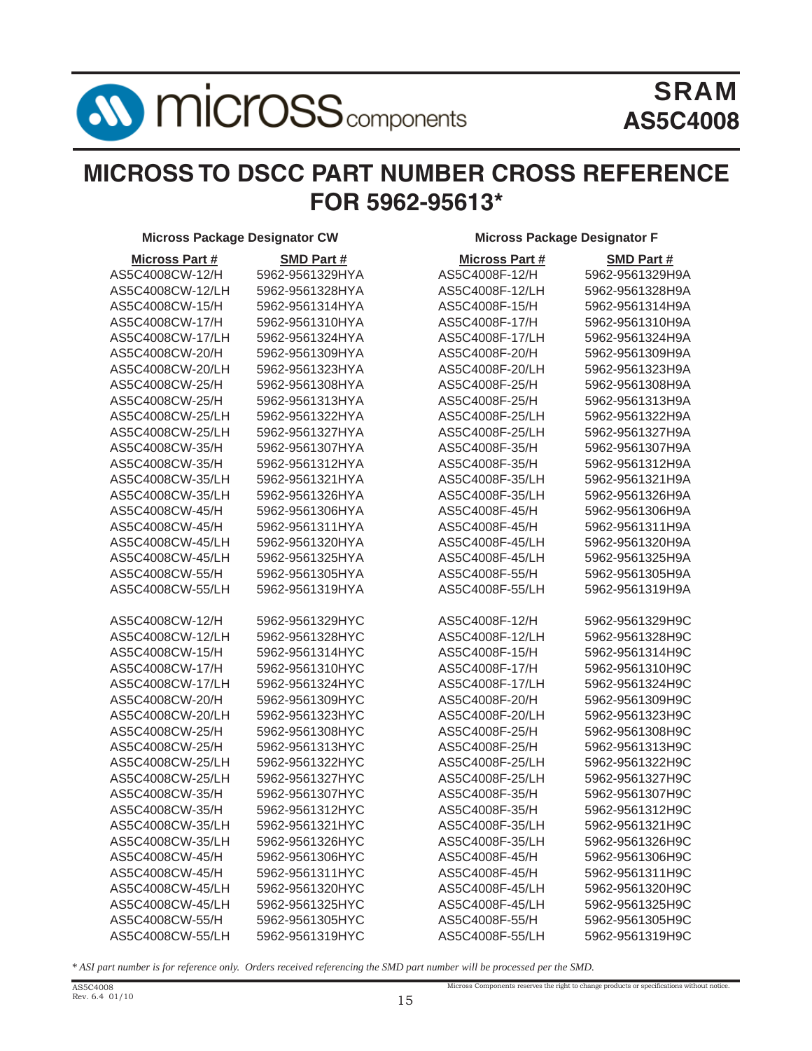

# **MICROSS TO DSCC PART NUMBER CROSS REFERENCE FOR 5962-95613\***

**Micross Package Designator CW Micross Package Designator F**

| <b>Micross Part #</b> | SMD Part #      | <b>Micross Part #</b> | SMD Part #      |
|-----------------------|-----------------|-----------------------|-----------------|
| AS5C4008CW-12/H       | 5962-9561329HYA | AS5C4008F-12/H        | 5962-9561329H9A |
| AS5C4008CW-12/LH      | 5962-9561328HYA | AS5C4008F-12/LH       | 5962-9561328H9A |
| AS5C4008CW-15/H       | 5962-9561314HYA | AS5C4008F-15/H        | 5962-9561314H9A |
| AS5C4008CW-17/H       | 5962-9561310HYA | AS5C4008F-17/H        | 5962-9561310H9A |
| AS5C4008CW-17/LH      | 5962-9561324HYA | AS5C4008F-17/LH       | 5962-9561324H9A |
|                       |                 |                       |                 |
| AS5C4008CW-20/H       | 5962-9561309HYA | AS5C4008F-20/H        | 5962-9561309H9A |
| AS5C4008CW-20/LH      | 5962-9561323HYA | AS5C4008F-20/LH       | 5962-9561323H9A |
| AS5C4008CW-25/H       | 5962-9561308HYA | AS5C4008F-25/H        | 5962-9561308H9A |
| AS5C4008CW-25/H       | 5962-9561313HYA | AS5C4008F-25/H        | 5962-9561313H9A |
| AS5C4008CW-25/LH      | 5962-9561322HYA | AS5C4008F-25/LH       | 5962-9561322H9A |
| AS5C4008CW-25/LH      | 5962-9561327HYA | AS5C4008F-25/LH       | 5962-9561327H9A |
| AS5C4008CW-35/H       | 5962-9561307HYA | AS5C4008F-35/H        | 5962-9561307H9A |
| AS5C4008CW-35/H       | 5962-9561312HYA | AS5C4008F-35/H        | 5962-9561312H9A |
| AS5C4008CW-35/LH      | 5962-9561321HYA | AS5C4008F-35/LH       | 5962-9561321H9A |
| AS5C4008CW-35/LH      | 5962-9561326HYA | AS5C4008F-35/LH       | 5962-9561326H9A |
| AS5C4008CW-45/H       | 5962-9561306HYA | AS5C4008F-45/H        | 5962-9561306H9A |
| AS5C4008CW-45/H       | 5962-9561311HYA | AS5C4008F-45/H        | 5962-9561311H9A |
| AS5C4008CW-45/LH      | 5962-9561320HYA | AS5C4008F-45/LH       | 5962-9561320H9A |
| AS5C4008CW-45/LH      | 5962-9561325HYA | AS5C4008F-45/LH       | 5962-9561325H9A |
| AS5C4008CW-55/H       | 5962-9561305HYA | AS5C4008F-55/H        | 5962-9561305H9A |
| AS5C4008CW-55/LH      | 5962-9561319HYA | AS5C4008F-55/LH       | 5962-9561319H9A |
| AS5C4008CW-12/H       | 5962-9561329HYC | AS5C4008F-12/H        | 5962-9561329H9C |
| AS5C4008CW-12/LH      | 5962-9561328HYC | AS5C4008F-12/LH       | 5962-9561328H9C |
| AS5C4008CW-15/H       | 5962-9561314HYC | AS5C4008F-15/H        | 5962-9561314H9C |
| AS5C4008CW-17/H       | 5962-9561310HYC | AS5C4008F-17/H        | 5962-9561310H9C |
| AS5C4008CW-17/LH      | 5962-9561324HYC | AS5C4008F-17/LH       | 5962-9561324H9C |
| AS5C4008CW-20/H       | 5962-9561309HYC | AS5C4008F-20/H        | 5962-9561309H9C |
| AS5C4008CW-20/LH      | 5962-9561323HYC | AS5C4008F-20/LH       | 5962-9561323H9C |
| AS5C4008CW-25/H       | 5962-9561308HYC | AS5C4008F-25/H        | 5962-9561308H9C |
| AS5C4008CW-25/H       | 5962-9561313HYC | AS5C4008F-25/H        | 5962-9561313H9C |
| AS5C4008CW-25/LH      | 5962-9561322HYC | AS5C4008F-25/LH       | 5962-9561322H9C |
| AS5C4008CW-25/LH      | 5962-9561327HYC | AS5C4008F-25/LH       | 5962-9561327H9C |
| AS5C4008CW-35/H       | 5962-9561307HYC | AS5C4008F-35/H        | 5962-9561307H9C |
| AS5C4008CW-35/H       | 5962-9561312HYC | AS5C4008F-35/H        | 5962-9561312H9C |
| AS5C4008CW-35/LH      | 5962-9561321HYC | AS5C4008F-35/LH       | 5962-9561321H9C |
| AS5C4008CW-35/LH      | 5962-9561326HYC | AS5C4008F-35/LH       | 5962-9561326H9C |
| AS5C4008CW-45/H       | 5962-9561306HYC | AS5C4008F-45/H        | 5962-9561306H9C |
| AS5C4008CW-45/H       | 5962-9561311HYC | AS5C4008F-45/H        | 5962-9561311H9C |
| AS5C4008CW-45/LH      | 5962-9561320HYC | AS5C4008F-45/LH       | 5962-9561320H9C |
| AS5C4008CW-45/LH      | 5962-9561325HYC | AS5C4008F-45/LH       | 5962-9561325H9C |
| AS5C4008CW-55/H       | 5962-9561305HYC | AS5C4008F-55/H        | 5962-9561305H9C |
| AS5C4008CW-55/LH      | 5962-9561319HYC | AS5C4008F-55/LH       | 5962-9561319H9C |
|                       |                 |                       |                 |

Micross Components reserves the right to change products or specifications without notice.

*\* ASI part number is for reference only. Orders received referencing the SMD part number will be processed per the SMD.*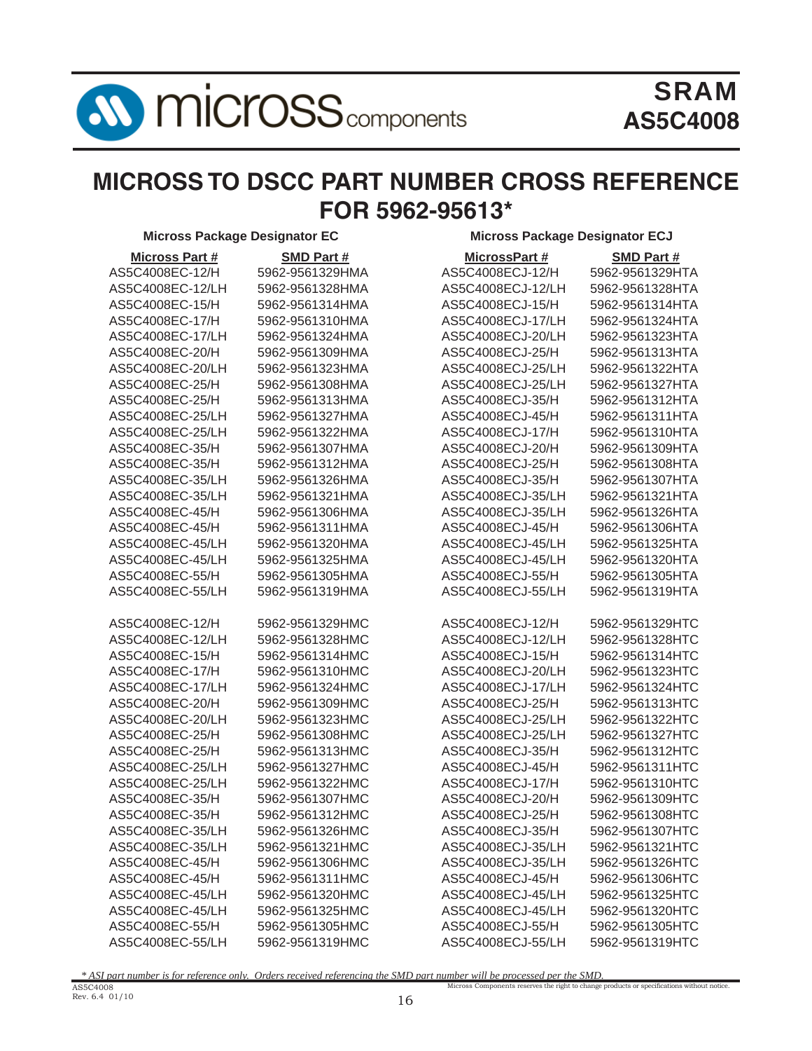**AV MICroSS** components

# SRAM **AS5C4008**

# **MICROSS TO DSCC PART NUMBER CROSS REFERENCE FOR 5962-95613\***

| <b>Micross Part #</b> | <b>SMD Part#</b> | MicrossPart #     | <b>SMD Part#</b> |
|-----------------------|------------------|-------------------|------------------|
| AS5C4008EC-12/H       | 5962-9561329HMA  | AS5C4008ECJ-12/H  | 5962-9561329HTA  |
| AS5C4008EC-12/LH      | 5962-9561328HMA  | AS5C4008ECJ-12/LH | 5962-9561328HTA  |
| AS5C4008EC-15/H       | 5962-9561314HMA  | AS5C4008ECJ-15/H  | 5962-9561314HTA  |
| AS5C4008EC-17/H       | 5962-9561310HMA  | AS5C4008ECJ-17/LH | 5962-9561324HTA  |
| AS5C4008EC-17/LH      | 5962-9561324HMA  | AS5C4008ECJ-20/LH | 5962-9561323HTA  |
| AS5C4008EC-20/H       | 5962-9561309HMA  | AS5C4008ECJ-25/H  | 5962-9561313HTA  |
| AS5C4008EC-20/LH      | 5962-9561323HMA  | AS5C4008ECJ-25/LH | 5962-9561322HTA  |
| AS5C4008EC-25/H       | 5962-9561308HMA  | AS5C4008ECJ-25/LH | 5962-9561327HTA  |
| AS5C4008EC-25/H       | 5962-9561313HMA  | AS5C4008ECJ-35/H  | 5962-9561312HTA  |
| AS5C4008EC-25/LH      | 5962-9561327HMA  | AS5C4008ECJ-45/H  | 5962-9561311HTA  |
| AS5C4008EC-25/LH      | 5962-9561322HMA  | AS5C4008ECJ-17/H  | 5962-9561310HTA  |
| AS5C4008EC-35/H       | 5962-9561307HMA  | AS5C4008ECJ-20/H  | 5962-9561309HTA  |
| AS5C4008EC-35/H       | 5962-9561312HMA  | AS5C4008ECJ-25/H  | 5962-9561308HTA  |
| AS5C4008EC-35/LH      | 5962-9561326HMA  | AS5C4008ECJ-35/H  | 5962-9561307HTA  |
| AS5C4008EC-35/LH      | 5962-9561321HMA  | AS5C4008ECJ-35/LH | 5962-9561321HTA  |
| AS5C4008EC-45/H       | 5962-9561306HMA  | AS5C4008ECJ-35/LH | 5962-9561326HTA  |
| AS5C4008EC-45/H       | 5962-9561311HMA  | AS5C4008ECJ-45/H  | 5962-9561306HTA  |
| AS5C4008EC-45/LH      | 5962-9561320HMA  | AS5C4008ECJ-45/LH | 5962-9561325HTA  |
| AS5C4008EC-45/LH      | 5962-9561325HMA  | AS5C4008ECJ-45/LH | 5962-9561320HTA  |
| AS5C4008EC-55/H       | 5962-9561305HMA  | AS5C4008ECJ-55/H  | 5962-9561305HTA  |
| AS5C4008EC-55/LH      | 5962-9561319HMA  | AS5C4008ECJ-55/LH | 5962-9561319HTA  |
| AS5C4008EC-12/H       | 5962-9561329HMC  | AS5C4008ECJ-12/H  | 5962-9561329HTC  |
| AS5C4008EC-12/LH      | 5962-9561328HMC  | AS5C4008ECJ-12/LH | 5962-9561328HTC  |
| AS5C4008EC-15/H       | 5962-9561314HMC  | AS5C4008ECJ-15/H  | 5962-9561314HTC  |
| AS5C4008EC-17/H       | 5962-9561310HMC  | AS5C4008ECJ-20/LH | 5962-9561323HTC  |
| AS5C4008EC-17/LH      | 5962-9561324HMC  | AS5C4008ECJ-17/LH | 5962-9561324HTC  |
| AS5C4008EC-20/H       | 5962-9561309HMC  | AS5C4008ECJ-25/H  | 5962-9561313HTC  |
| AS5C4008EC-20/LH      | 5962-9561323HMC  | AS5C4008ECJ-25/LH | 5962-9561322HTC  |
| AS5C4008EC-25/H       | 5962-9561308HMC  | AS5C4008ECJ-25/LH | 5962-9561327HTC  |
| AS5C4008EC-25/H       | 5962-9561313HMC  | AS5C4008ECJ-35/H  | 5962-9561312HTC  |
| AS5C4008EC-25/LH      | 5962-9561327HMC  | AS5C4008ECJ-45/H  | 5962-9561311HTC  |
| AS5C4008EC-25/LH      | 5962-9561322HMC  | AS5C4008ECJ-17/H  | 5962-9561310HTC  |
| AS5C4008EC-35/H       | 5962-9561307HMC  | AS5C4008ECJ-20/H  | 5962-9561309HTC  |
| AS5C4008EC-35/H       | 5962-9561312HMC  | AS5C4008ECJ-25/H  | 5962-9561308HTC  |
| AS5C4008EC-35/LH      | 5962-9561326HMC  | AS5C4008ECJ-35/H  | 5962-9561307HTC  |
| AS5C4008EC-35/LH      | 5962-9561321HMC  | AS5C4008ECJ-35/LH | 5962-9561321HTC  |
| AS5C4008EC-45/H       | 5962-9561306HMC  | AS5C4008ECJ-35/LH | 5962-9561326HTC  |
| AS5C4008EC-45/H       | 5962-9561311HMC  | AS5C4008ECJ-45/H  | 5962-9561306HTC  |
| AS5C4008EC-45/LH      | 5962-9561320HMC  | AS5C4008ECJ-45/LH | 5962-9561325HTC  |
| AS5C4008EC-45/LH      | 5962-9561325HMC  | AS5C4008ECJ-45/LH | 5962-9561320HTC  |
| AS5C4008EC-55/H       | 5962-9561305HMC  | AS5C4008ECJ-55/H  | 5962-9561305HTC  |
| AS5C4008EC-55/LH      | 5962-9561319HMC  | AS5C4008ECJ-55/LH | 5962-9561319HTC  |

#### **Micross Package Designator EC** Micross Package Designator ECJ

| MicrossPart #     | SMD Part #      |
|-------------------|-----------------|
| AS5C4008ECJ-12/H  | 5962-9561329HTA |
| AS5C4008ECJ-12/LH | 5962-9561328HTA |
| AS5C4008ECJ-15/H  | 5962-9561314HTA |
| AS5C4008ECJ-17/LH | 5962-9561324HTA |
| AS5C4008ECJ-20/LH | 5962-9561323HTA |
| AS5C4008ECJ-25/H  | 5962-9561313HTA |
| AS5C4008ECJ-25/LH | 5962-9561322HTA |
| AS5C4008ECJ-25/LH | 5962-9561327HTA |
| AS5C4008ECJ-35/H  | 5962-9561312HTA |
| AS5C4008ECJ-45/H  | 5962-9561311HTA |
| AS5C4008ECJ-17/H  | 5962-9561310HTA |
| AS5C4008ECJ-20/H  | 5962-9561309HTA |
| AS5C4008ECJ-25/H  | 5962-9561308HTA |
| AS5C4008ECJ-35/H  | 5962-9561307HTA |
| AS5C4008ECJ-35/LH | 5962-9561321HTA |
| AS5C4008ECJ-35/LH | 5962-9561326HTA |
| AS5C4008ECJ-45/H  | 5962-9561306HTA |
| AS5C4008ECJ-45/LH | 5962-9561325HTA |
| AS5C4008ECJ-45/LH | 5962-9561320HTA |
| AS5C4008ECJ-55/H  | 5962-9561305HTA |
| AS5C4008ECJ-55/LH | 5962-9561319HTA |
|                   |                 |
| AS5C4008ECJ-12/H  | 5962-9561329HTC |
| AS5C4008ECJ-12/LH | 5962-9561328HTC |
| AS5C4008ECJ-15/H  | 5962-9561314HTC |
| AS5C4008ECJ-20/LH | 5962-9561323HTC |
| AS5C4008ECJ-17/LH | 5962-9561324HTC |
| AS5C4008ECJ-25/H  | 5962-9561313HTC |
| AS5C4008ECJ-25/LH | 5962-9561322HTC |
| AS5C4008ECJ-25/LH | 5962-9561327HTC |
| AS5C4008ECJ-35/H  | 5962-9561312HTC |
| AS5C4008ECJ-45/H  | 5962-9561311HTC |
| AS5C4008ECJ-17/H  | 5962-9561310HTC |
| AS5C4008ECJ-20/H  | 5962-9561309HTC |
| AS5C4008ECJ-25/H  | 5962-9561308HTC |
| AS5C4008ECJ-35/H  | 5962-9561307HTC |
| AS5C4008ECJ-35/LH | 5962-9561321HTC |
| AS5C4008ECJ-35/LH | 5962-9561326HTC |
| AS5C4008ECJ-45/H  | 5962-9561306HTC |
| AS5C4008ECJ-45/LH | 5962-9561325HTC |
| AS5C4008ECJ-45/LH | 5962-9561320HTC |
| AS5C4008ECJ-55/H  | 5962-9561305HTC |
| AS5C4008ECJ-55/LH | 5962-9561319HTC |

Micross Components reserves the right to change products or specifications without notice. *\* ASI part number is for reference only. Orders received referencing the SMD part number will be processed per the SMD.*